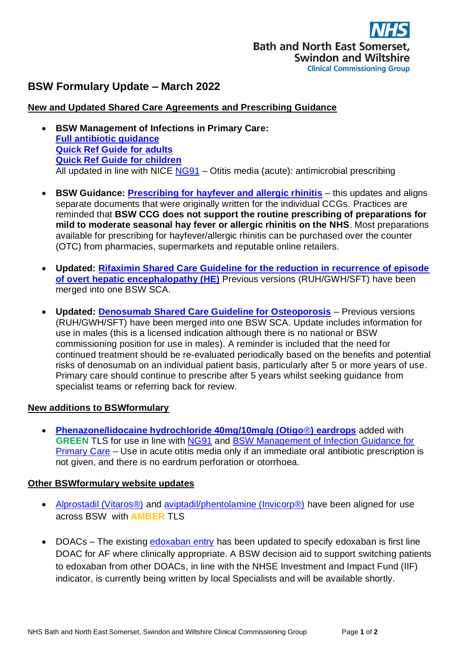# **BSW Formulary Update – March 2022**

## **New and Updated Shared Care Agreements and Prescribing Guidance**

- **BSW Management of Infections in Primary Care: [Full antibiotic guidance](https://prescribing.wiltshireccg.nhs.uk/?wpdmdl=6041) [Quick Ref Guide](https://prescribing.wiltshireccg.nhs.uk/?wpdmdl=6043) for adults [Quick Ref Guide for](https://prescribing.wiltshireccg.nhs.uk/?wpdmdl=6045) children** All updated in line with NICE [NG91](https://www.nice.org.uk/guidance/ng91) – Otitis media (acute): antimicrobial prescribing
- **BSW Guidance: [Prescribing for hayfever and allergic rhinitis](https://prescribing.bswccg.nhs.uk/?wpdmdl=9389)** this updates and aligns separate documents that were originally written for the individual CCGs. Practices are reminded that **BSW CCG does not support the routine prescribing of preparations for mild to moderate seasonal hay fever or allergic rhinitis on the NHS**. Most preparations available for prescribing for hayfever/allergic rhinitis can be purchased over the counter (OTC) from pharmacies, supermarkets and reputable online retailers.
- **Updated: [Rifaximin Shared Care Guideline for the reduction in recurrence of episode](https://prescribing.bswccg.nhs.uk/?wpdmdl=9346&ind=1648639891757&UNLID=110629913202253101654)  [of overt hepatic encephalopathy \(HE\)](https://prescribing.bswccg.nhs.uk/?wpdmdl=9346&ind=1648639891757&UNLID=110629913202253101654)** Previous versions (RUH/GWH/SFT) have been merged into one BSW SCA.
- **Updated: [Denosumab Shared Care Guideline for Osteoporosis](https://prescribing.bswccg.nhs.uk/?wpdmdl=9294&ind=1647250554689&UNLID=110630096202253114541)** Previous versions (RUH/GWH/SFT) have been merged into one BSW SCA. Update includes information for use in males (this is a licensed indication although there is no national or BSW commissioning position for use in males). A reminder is included that the need for continued treatment should be re-evaluated periodically based on the benefits and potential risks of denosumab on an individual patient basis, particularly after 5 or more years of use. Primary care should continue to prescribe after 5 years whilst seeking guidance from specialist teams or referring back for review.

### **New additions to BSWformulary**

• **[Phenazone/lidocaine hydrochloride 40mg/10mg/g \(Otigo](http://bswformulary.nhs.uk/chaptersSubDetails.asp?FormularyID=5790&FormularySectionID=12&SubSectionRef=12.01.02&SubSectionID=A100#5790)**®**) eardrops** added with **GREEN** TLS for use in line with [NG91](https://www.nice.org.uk/guidance/ng91) and [BSW Management of Infection Guidance for](https://prescribing.wiltshireccg.nhs.uk/?wpdmdl=87)  [Primary Care](https://prescribing.wiltshireccg.nhs.uk/?wpdmdl=87) – Use in acute otitis media only if an immediate oral antibiotic prescription is not given, and there is no eardrum perforation or otorrhoea.

#### **Other BSWformulary website updates**

- Alprostadil (Vitaros<sup>®</sup>) and aviptadil/phentolamine (Invicorp<sup>®</sup>) have been aligned for use across BSW with **AMBER** TLS
- DOACs The existing **edoxaban entry** has been updated to specify edoxaban is first line DOAC for AF where clinically appropriate. A BSW decision aid to support switching patients to edoxaban from other DOACs, in line with the NHSE Investment and Impact Fund (IIF) indicator, is currently being written by local Specialists and will be available shortly.